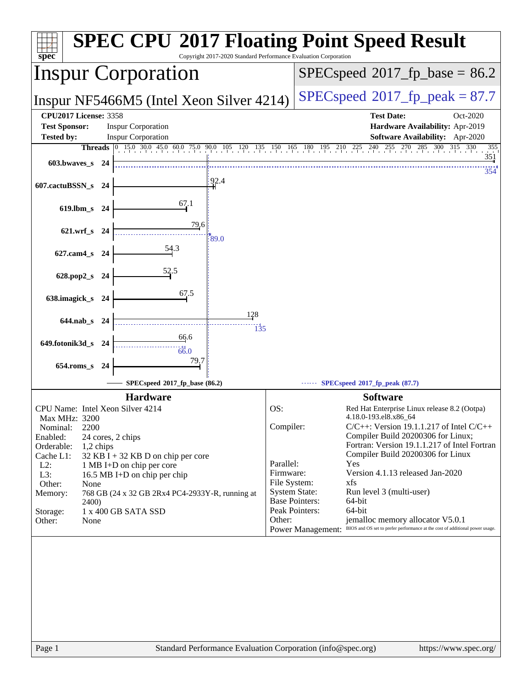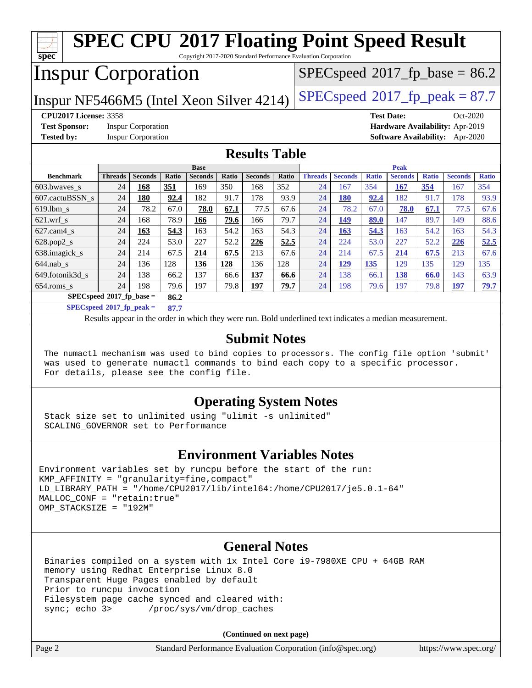#### **[spec](http://www.spec.org/) [SPEC CPU](http://www.spec.org/auto/cpu2017/Docs/result-fields.html#SPECCPU2017FloatingPointSpeedResult)[2017 Floating Point Speed Result](http://www.spec.org/auto/cpu2017/Docs/result-fields.html#SPECCPU2017FloatingPointSpeedResult)** Copyright 2017-2020 Standard Performance Evaluation Corporation Inspur Corporation Inspur NF5466M5 (Intel Xeon Silver 4214) [SPECspeed](http://www.spec.org/auto/cpu2017/Docs/result-fields.html#SPECspeed2017fppeak)<sup>®</sup>[2017\\_fp\\_peak = 8](http://www.spec.org/auto/cpu2017/Docs/result-fields.html#SPECspeed2017fppeak)7.7  $SPECspeed*2017_fp\_base = 86.2$  $SPECspeed*2017_fp\_base = 86.2$ **[CPU2017 License:](http://www.spec.org/auto/cpu2017/Docs/result-fields.html#CPU2017License)** 3358 **[Test Date:](http://www.spec.org/auto/cpu2017/Docs/result-fields.html#TestDate)** Oct-2020 **[Test Sponsor:](http://www.spec.org/auto/cpu2017/Docs/result-fields.html#TestSponsor)** Inspur Corporation **[Hardware Availability:](http://www.spec.org/auto/cpu2017/Docs/result-fields.html#HardwareAvailability)** Apr-2019 **[Tested by:](http://www.spec.org/auto/cpu2017/Docs/result-fields.html#Testedby)** Inspur Corporation **[Software Availability:](http://www.spec.org/auto/cpu2017/Docs/result-fields.html#SoftwareAvailability)** Apr-2020 **[Results Table](http://www.spec.org/auto/cpu2017/Docs/result-fields.html#ResultsTable) [Benchmark](http://www.spec.org/auto/cpu2017/Docs/result-fields.html#Benchmark) [Threads](http://www.spec.org/auto/cpu2017/Docs/result-fields.html#Threads) [Seconds](http://www.spec.org/auto/cpu2017/Docs/result-fields.html#Seconds) [Ratio](http://www.spec.org/auto/cpu2017/Docs/result-fields.html#Ratio) [Seconds](http://www.spec.org/auto/cpu2017/Docs/result-fields.html#Seconds) [Ratio](http://www.spec.org/auto/cpu2017/Docs/result-fields.html#Ratio) [Seconds](http://www.spec.org/auto/cpu2017/Docs/result-fields.html#Seconds) [Ratio](http://www.spec.org/auto/cpu2017/Docs/result-fields.html#Ratio) Base [Threads](http://www.spec.org/auto/cpu2017/Docs/result-fields.html#Threads) [Seconds](http://www.spec.org/auto/cpu2017/Docs/result-fields.html#Seconds) [Ratio](http://www.spec.org/auto/cpu2017/Docs/result-fields.html#Ratio) [Seconds](http://www.spec.org/auto/cpu2017/Docs/result-fields.html#Seconds) [Ratio](http://www.spec.org/auto/cpu2017/Docs/result-fields.html#Ratio) [Seconds](http://www.spec.org/auto/cpu2017/Docs/result-fields.html#Seconds) [Ratio](http://www.spec.org/auto/cpu2017/Docs/result-fields.html#Ratio) Peak** [603.bwaves\\_s](http://www.spec.org/auto/cpu2017/Docs/benchmarks/603.bwaves_s.html) 24 **[168](http://www.spec.org/auto/cpu2017/Docs/result-fields.html#Median) [351](http://www.spec.org/auto/cpu2017/Docs/result-fields.html#Median)** 169 350 168 352 24 167 354 **[167](http://www.spec.org/auto/cpu2017/Docs/result-fields.html#Median) [354](http://www.spec.org/auto/cpu2017/Docs/result-fields.html#Median)** 167 354 [607.cactuBSSN\\_s](http://www.spec.org/auto/cpu2017/Docs/benchmarks/607.cactuBSSN_s.html) 24 **[180](http://www.spec.org/auto/cpu2017/Docs/result-fields.html#Median) [92.4](http://www.spec.org/auto/cpu2017/Docs/result-fields.html#Median)** 182 91.7 178 93.9 24 **[180](http://www.spec.org/auto/cpu2017/Docs/result-fields.html#Median) [92.4](http://www.spec.org/auto/cpu2017/Docs/result-fields.html#Median)** 182 91.7 178 93.9 [619.lbm\\_s](http://www.spec.org/auto/cpu2017/Docs/benchmarks/619.lbm_s.html) 24 78.2 67.0 **[78.0](http://www.spec.org/auto/cpu2017/Docs/result-fields.html#Median) [67.1](http://www.spec.org/auto/cpu2017/Docs/result-fields.html#Median)** 77.5 67.6 24 78.2 67.0 **[78.0](http://www.spec.org/auto/cpu2017/Docs/result-fields.html#Median) [67.1](http://www.spec.org/auto/cpu2017/Docs/result-fields.html#Median)** 77.5 67.6 [621.wrf\\_s](http://www.spec.org/auto/cpu2017/Docs/benchmarks/621.wrf_s.html) 24 168 78.9 **[166](http://www.spec.org/auto/cpu2017/Docs/result-fields.html#Median) [79.6](http://www.spec.org/auto/cpu2017/Docs/result-fields.html#Median)** 166 79.7 24 **[149](http://www.spec.org/auto/cpu2017/Docs/result-fields.html#Median) [89.0](http://www.spec.org/auto/cpu2017/Docs/result-fields.html#Median)** 147 89.7 149 88.6 [627.cam4\\_s](http://www.spec.org/auto/cpu2017/Docs/benchmarks/627.cam4_s.html) 24 **[163](http://www.spec.org/auto/cpu2017/Docs/result-fields.html#Median) [54.3](http://www.spec.org/auto/cpu2017/Docs/result-fields.html#Median)** 163 54.2 163 54.3 24 **[163](http://www.spec.org/auto/cpu2017/Docs/result-fields.html#Median) [54.3](http://www.spec.org/auto/cpu2017/Docs/result-fields.html#Median)** 163 54.2 163 54.3 [628.pop2\\_s](http://www.spec.org/auto/cpu2017/Docs/benchmarks/628.pop2_s.html) 24 224 53.0 227 52.2 **[226](http://www.spec.org/auto/cpu2017/Docs/result-fields.html#Median) [52.5](http://www.spec.org/auto/cpu2017/Docs/result-fields.html#Median)** 24 224 53.0 227 52.2 **[226](http://www.spec.org/auto/cpu2017/Docs/result-fields.html#Median) [52.5](http://www.spec.org/auto/cpu2017/Docs/result-fields.html#Median)** [638.imagick\\_s](http://www.spec.org/auto/cpu2017/Docs/benchmarks/638.imagick_s.html) 24 214 67.5 **[214](http://www.spec.org/auto/cpu2017/Docs/result-fields.html#Median) [67.5](http://www.spec.org/auto/cpu2017/Docs/result-fields.html#Median)** 213 67.6 24 214 67.5 **[214](http://www.spec.org/auto/cpu2017/Docs/result-fields.html#Median) [67.5](http://www.spec.org/auto/cpu2017/Docs/result-fields.html#Median)** 213 67.6 [644.nab\\_s](http://www.spec.org/auto/cpu2017/Docs/benchmarks/644.nab_s.html) 24 136 128 **[136](http://www.spec.org/auto/cpu2017/Docs/result-fields.html#Median) [128](http://www.spec.org/auto/cpu2017/Docs/result-fields.html#Median)** 136 128 24 **[129](http://www.spec.org/auto/cpu2017/Docs/result-fields.html#Median) [135](http://www.spec.org/auto/cpu2017/Docs/result-fields.html#Median)** 129 135 129 135 [649.fotonik3d\\_s](http://www.spec.org/auto/cpu2017/Docs/benchmarks/649.fotonik3d_s.html) 24 138 66.2 137 66.6 **[137](http://www.spec.org/auto/cpu2017/Docs/result-fields.html#Median) [66.6](http://www.spec.org/auto/cpu2017/Docs/result-fields.html#Median)** 24 138 66.1 **[138](http://www.spec.org/auto/cpu2017/Docs/result-fields.html#Median) [66.0](http://www.spec.org/auto/cpu2017/Docs/result-fields.html#Median)** 143 63.9 [654.roms\\_s](http://www.spec.org/auto/cpu2017/Docs/benchmarks/654.roms_s.html) 24 198 79.6 197 79.8 **[197](http://www.spec.org/auto/cpu2017/Docs/result-fields.html#Median) [79.7](http://www.spec.org/auto/cpu2017/Docs/result-fields.html#Median)** 24 198 79.6 197 79.8 **[197](http://www.spec.org/auto/cpu2017/Docs/result-fields.html#Median) [79.7](http://www.spec.org/auto/cpu2017/Docs/result-fields.html#Median) [SPECspeed](http://www.spec.org/auto/cpu2017/Docs/result-fields.html#SPECspeed2017fpbase)[2017\\_fp\\_base =](http://www.spec.org/auto/cpu2017/Docs/result-fields.html#SPECspeed2017fpbase) 86.2 [SPECspeed](http://www.spec.org/auto/cpu2017/Docs/result-fields.html#SPECspeed2017fppeak)[2017\\_fp\\_peak =](http://www.spec.org/auto/cpu2017/Docs/result-fields.html#SPECspeed2017fppeak) 87.7** Results appear in the [order in which they were run.](http://www.spec.org/auto/cpu2017/Docs/result-fields.html#RunOrder) Bold underlined text [indicates a median measurement](http://www.spec.org/auto/cpu2017/Docs/result-fields.html#Median). **[Submit Notes](http://www.spec.org/auto/cpu2017/Docs/result-fields.html#SubmitNotes)** The numactl mechanism was used to bind copies to processors. The config file option 'submit'

 was used to generate numactl commands to bind each copy to a specific processor. For details, please see the config file.

### **[Operating System Notes](http://www.spec.org/auto/cpu2017/Docs/result-fields.html#OperatingSystemNotes)**

 Stack size set to unlimited using "ulimit -s unlimited" SCALING\_GOVERNOR set to Performance

### **[Environment Variables Notes](http://www.spec.org/auto/cpu2017/Docs/result-fields.html#EnvironmentVariablesNotes)**

```
Environment variables set by runcpu before the start of the run:
KMP_AFFINITY = "granularity=fine,compact"
LD LIBRARY PATH = "/home/CPU2017/lib/intel64:/home/CPU2017/je5.0.1-64"
MALLOC_CONF = "retain:true"
OMP_STACKSIZE = "192M"
```
### **[General Notes](http://www.spec.org/auto/cpu2017/Docs/result-fields.html#GeneralNotes)**

 Binaries compiled on a system with 1x Intel Core i9-7980XE CPU + 64GB RAM memory using Redhat Enterprise Linux 8.0 Transparent Huge Pages enabled by default Prior to runcpu invocation Filesystem page cache synced and cleared with: sync; echo 3> /proc/sys/vm/drop\_caches

**(Continued on next page)**

| Page 2 | Standard Performance Evaluation Corporation (info@spec.org) | https://www.spec.org/ |
|--------|-------------------------------------------------------------|-----------------------|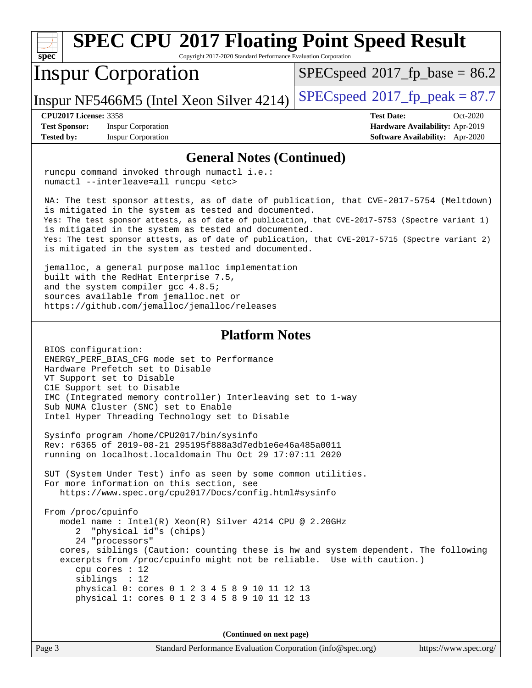#### **[spec](http://www.spec.org/) [SPEC CPU](http://www.spec.org/auto/cpu2017/Docs/result-fields.html#SPECCPU2017FloatingPointSpeedResult)[2017 Floating Point Speed Result](http://www.spec.org/auto/cpu2017/Docs/result-fields.html#SPECCPU2017FloatingPointSpeedResult)** Copyright 2017-2020 Standard Performance Evaluation Corporation Inspur Corporation Inspur NF5466M5 (Intel Xeon Silver 4214) [SPECspeed](http://www.spec.org/auto/cpu2017/Docs/result-fields.html#SPECspeed2017fppeak)<sup>®</sup>[2017\\_fp\\_peak = 8](http://www.spec.org/auto/cpu2017/Docs/result-fields.html#SPECspeed2017fppeak)7.7  $SPECspeed*2017_fp\_base = 86.2$  $SPECspeed*2017_fp\_base = 86.2$ **[CPU2017 License:](http://www.spec.org/auto/cpu2017/Docs/result-fields.html#CPU2017License)** 3358 **[Test Date:](http://www.spec.org/auto/cpu2017/Docs/result-fields.html#TestDate)** Oct-2020 **[Test Sponsor:](http://www.spec.org/auto/cpu2017/Docs/result-fields.html#TestSponsor)** Inspur Corporation **[Hardware Availability:](http://www.spec.org/auto/cpu2017/Docs/result-fields.html#HardwareAvailability)** Apr-2019 **[Tested by:](http://www.spec.org/auto/cpu2017/Docs/result-fields.html#Testedby)** Inspur Corporation **[Software Availability:](http://www.spec.org/auto/cpu2017/Docs/result-fields.html#SoftwareAvailability)** Apr-2020 **[General Notes \(Continued\)](http://www.spec.org/auto/cpu2017/Docs/result-fields.html#GeneralNotes)** runcpu command invoked through numactl i.e.: numactl --interleave=all runcpu <etc> NA: The test sponsor attests, as of date of publication, that CVE-2017-5754 (Meltdown) is mitigated in the system as tested and documented. Yes: The test sponsor attests, as of date of publication, that CVE-2017-5753 (Spectre variant 1) is mitigated in the system as tested and documented. Yes: The test sponsor attests, as of date of publication, that CVE-2017-5715 (Spectre variant 2) is mitigated in the system as tested and documented. jemalloc, a general purpose malloc implementation built with the RedHat Enterprise 7.5, and the system compiler gcc 4.8.5; sources available from jemalloc.net or <https://github.com/jemalloc/jemalloc/releases> **[Platform Notes](http://www.spec.org/auto/cpu2017/Docs/result-fields.html#PlatformNotes)** BIOS configuration: ENERGY\_PERF\_BIAS\_CFG mode set to Performance Hardware Prefetch set to Disable VT Support set to Disable C1E Support set to Disable IMC (Integrated memory controller) Interleaving set to 1-way Sub NUMA Cluster (SNC) set to Enable Intel Hyper Threading Technology set to Disable Sysinfo program /home/CPU2017/bin/sysinfo Rev: r6365 of 2019-08-21 295195f888a3d7edb1e6e46a485a0011 running on localhost.localdomain Thu Oct 29 17:07:11 2020 SUT (System Under Test) info as seen by some common utilities. For more information on this section, see <https://www.spec.org/cpu2017/Docs/config.html#sysinfo> From /proc/cpuinfo model name : Intel(R) Xeon(R) Silver 4214 CPU @ 2.20GHz 2 "physical id"s (chips) 24 "processors" cores, siblings (Caution: counting these is hw and system dependent. The following excerpts from /proc/cpuinfo might not be reliable. Use with caution.) cpu cores : 12 siblings : 12 physical 0: cores 0 1 2 3 4 5 8 9 10 11 12 13 physical 1: cores 0 1 2 3 4 5 8 9 10 11 12 13 **(Continued on next page)**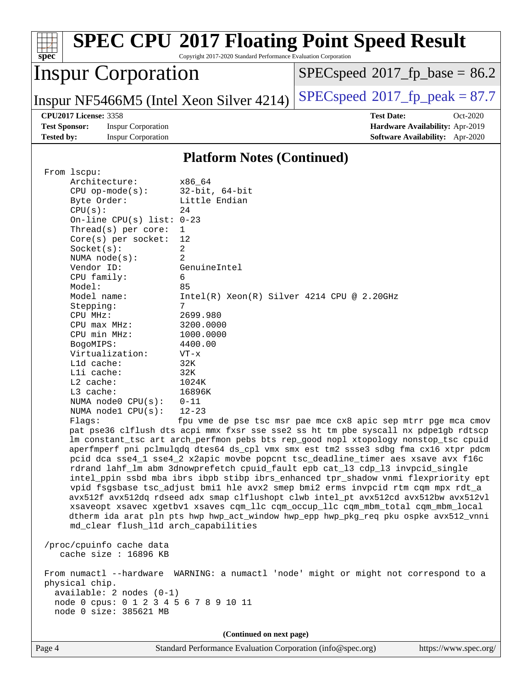| $spec^*$                                                                                                                     |                                                        | Copyright 2017-2020 Standard Performance Evaluation Corporation | <b>SPEC CPU®2017 Floating Point Speed Result</b>                                                                                                                         |  |
|------------------------------------------------------------------------------------------------------------------------------|--------------------------------------------------------|-----------------------------------------------------------------|--------------------------------------------------------------------------------------------------------------------------------------------------------------------------|--|
| <b>Inspur Corporation</b>                                                                                                    |                                                        |                                                                 | $SPEC speed^{\circ}2017\_fp\_base = 86.2$                                                                                                                                |  |
|                                                                                                                              |                                                        | Inspur NF5466M5 (Intel Xeon Silver 4214)                        | $SPEC speed^{\circ}2017$ [p_peak = 87.7                                                                                                                                  |  |
|                                                                                                                              | <b>CPU2017 License: 3358</b>                           |                                                                 | <b>Test Date:</b><br>Oct-2020                                                                                                                                            |  |
| <b>Test Sponsor:</b><br><b>Tested by:</b>                                                                                    | <b>Inspur Corporation</b><br><b>Inspur Corporation</b> |                                                                 | Hardware Availability: Apr-2019<br>Software Availability: Apr-2020                                                                                                       |  |
|                                                                                                                              |                                                        |                                                                 |                                                                                                                                                                          |  |
|                                                                                                                              |                                                        | <b>Platform Notes (Continued)</b>                               |                                                                                                                                                                          |  |
| From lscpu:                                                                                                                  |                                                        |                                                                 |                                                                                                                                                                          |  |
|                                                                                                                              | Architecture:                                          | x86_64                                                          |                                                                                                                                                                          |  |
|                                                                                                                              | $CPU$ op-mode( $s$ ):<br>Byte Order:                   | $32$ -bit, $64$ -bit<br>Little Endian                           |                                                                                                                                                                          |  |
|                                                                                                                              | CPU(s):                                                | 24                                                              |                                                                                                                                                                          |  |
|                                                                                                                              | On-line $CPU(s)$ list:                                 | $0 - 23$                                                        |                                                                                                                                                                          |  |
|                                                                                                                              | Thread( $s$ ) per core:                                | 1                                                               |                                                                                                                                                                          |  |
|                                                                                                                              | $Core(s)$ per socket:                                  | 12                                                              |                                                                                                                                                                          |  |
|                                                                                                                              | Socket(s):                                             | 2                                                               |                                                                                                                                                                          |  |
|                                                                                                                              | NUMA $node(s)$ :<br>Vendor ID:                         | 2<br>GenuineIntel                                               |                                                                                                                                                                          |  |
|                                                                                                                              | CPU family:                                            | 6                                                               |                                                                                                                                                                          |  |
|                                                                                                                              | Model:                                                 | 85                                                              |                                                                                                                                                                          |  |
|                                                                                                                              | Model name:                                            | Intel(R) Xeon(R) Silver 4214 CPU @ 2.20GHz                      |                                                                                                                                                                          |  |
|                                                                                                                              | Stepping:                                              | 7                                                               |                                                                                                                                                                          |  |
|                                                                                                                              | CPU MHz:                                               | 2699.980                                                        |                                                                                                                                                                          |  |
|                                                                                                                              | $CPU$ max $MHz:$<br>CPU min MHz:                       | 3200.0000<br>1000.0000                                          |                                                                                                                                                                          |  |
|                                                                                                                              | BogoMIPS:                                              | 4400.00                                                         |                                                                                                                                                                          |  |
|                                                                                                                              | Virtualization:                                        | $VT - x$                                                        |                                                                                                                                                                          |  |
|                                                                                                                              | L1d cache:                                             | 32K                                                             |                                                                                                                                                                          |  |
|                                                                                                                              | Lli cache:                                             | 32K                                                             |                                                                                                                                                                          |  |
|                                                                                                                              | $L2$ cache:                                            | 1024K                                                           |                                                                                                                                                                          |  |
|                                                                                                                              | L3 cache:<br>NUMA node0 CPU(s):                        | 16896K<br>$0 - 11$                                              |                                                                                                                                                                          |  |
|                                                                                                                              | NUMA nodel CPU(s):                                     | $12 - 23$                                                       |                                                                                                                                                                          |  |
|                                                                                                                              | Flags:                                                 |                                                                 | fpu vme de pse tsc msr pae mce cx8 apic sep mtrr pge mca cmov                                                                                                            |  |
|                                                                                                                              |                                                        |                                                                 | pat pse36 clflush dts acpi mmx fxsr sse sse2 ss ht tm pbe syscall nx pdpelgb rdtscp                                                                                      |  |
|                                                                                                                              |                                                        |                                                                 | lm constant_tsc art arch_perfmon pebs bts rep_good nopl xtopology nonstop_tsc cpuid                                                                                      |  |
|                                                                                                                              |                                                        |                                                                 | aperfmperf pni pclmulqdq dtes64 ds_cpl vmx smx est tm2 ssse3 sdbg fma cx16 xtpr pdcm<br>pcid dca sse4_1 sse4_2 x2apic movbe popcnt tsc_deadline_timer aes xsave avx f16c |  |
|                                                                                                                              |                                                        |                                                                 | rdrand lahf_lm abm 3dnowprefetch cpuid_fault epb cat_13 cdp_13 invpcid_single                                                                                            |  |
|                                                                                                                              |                                                        |                                                                 | intel_ppin ssbd mba ibrs ibpb stibp ibrs_enhanced tpr_shadow vnmi flexpriority ept                                                                                       |  |
|                                                                                                                              |                                                        |                                                                 | vpid fsgsbase tsc_adjust bmil hle avx2 smep bmi2 erms invpcid rtm cqm mpx rdt_a                                                                                          |  |
|                                                                                                                              |                                                        |                                                                 | avx512f avx512dq rdseed adx smap clflushopt clwb intel_pt avx512cd avx512bw avx512vl                                                                                     |  |
|                                                                                                                              |                                                        |                                                                 | xsaveopt xsavec xgetbvl xsaves cqm_llc cqm_occup_llc cqm_mbm_total cqm_mbm_local                                                                                         |  |
| dtherm ida arat pln pts hwp hwp_act_window hwp_epp hwp_pkg_req pku ospke avx512_vnni<br>md_clear flush_11d arch_capabilities |                                                        |                                                                 |                                                                                                                                                                          |  |
|                                                                                                                              |                                                        |                                                                 |                                                                                                                                                                          |  |
|                                                                                                                              | /proc/cpuinfo cache data<br>cache size : 16896 KB      |                                                                 |                                                                                                                                                                          |  |
|                                                                                                                              |                                                        |                                                                 | From numactl --hardware WARNING: a numactl 'node' might or might not correspond to a                                                                                     |  |
| physical chip.                                                                                                               |                                                        |                                                                 |                                                                                                                                                                          |  |
| $available: 2 nodes (0-1)$                                                                                                   |                                                        |                                                                 |                                                                                                                                                                          |  |
| node 0 cpus: 0 1 2 3 4 5 6 7 8 9 10 11<br>node 0 size: 385621 MB                                                             |                                                        |                                                                 |                                                                                                                                                                          |  |
|                                                                                                                              |                                                        |                                                                 |                                                                                                                                                                          |  |
|                                                                                                                              |                                                        | (Continued on next page)                                        |                                                                                                                                                                          |  |
|                                                                                                                              |                                                        |                                                                 |                                                                                                                                                                          |  |

Page 4 Standard Performance Evaluation Corporation [\(info@spec.org\)](mailto:info@spec.org) <https://www.spec.org/>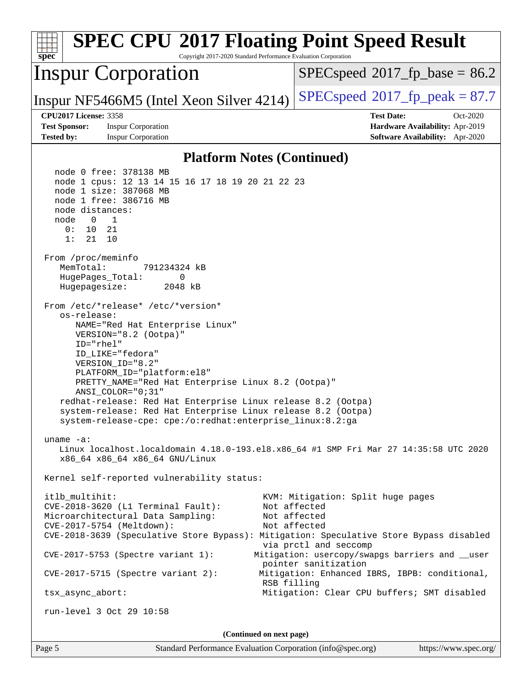| <b>SPEC CPU®2017 Floating Point Speed Result</b><br>Copyright 2017-2020 Standard Performance Evaluation Corporation<br>$spec^*$                                                                                                                                                                                                                                                                                                                                                                                                                                                                                                                                                                                                                                                                                                                                                                                                                                                                                                                                                                                                                                                                                                                                                                                                                                                                                                                                           |                                                                                                                      |  |
|---------------------------------------------------------------------------------------------------------------------------------------------------------------------------------------------------------------------------------------------------------------------------------------------------------------------------------------------------------------------------------------------------------------------------------------------------------------------------------------------------------------------------------------------------------------------------------------------------------------------------------------------------------------------------------------------------------------------------------------------------------------------------------------------------------------------------------------------------------------------------------------------------------------------------------------------------------------------------------------------------------------------------------------------------------------------------------------------------------------------------------------------------------------------------------------------------------------------------------------------------------------------------------------------------------------------------------------------------------------------------------------------------------------------------------------------------------------------------|----------------------------------------------------------------------------------------------------------------------|--|
| <b>Inspur Corporation</b>                                                                                                                                                                                                                                                                                                                                                                                                                                                                                                                                                                                                                                                                                                                                                                                                                                                                                                                                                                                                                                                                                                                                                                                                                                                                                                                                                                                                                                                 | $SPEC speed^{\circ}2017\_fp\_base = 86.2$                                                                            |  |
| Inspur NF5466M5 (Intel Xeon Silver 4214)                                                                                                                                                                                                                                                                                                                                                                                                                                                                                                                                                                                                                                                                                                                                                                                                                                                                                                                                                                                                                                                                                                                                                                                                                                                                                                                                                                                                                                  | $SPEC speed^{\circ}2017$ fp peak = 87.7                                                                              |  |
| <b>CPU2017 License: 3358</b><br><b>Test Sponsor:</b><br><b>Inspur Corporation</b>                                                                                                                                                                                                                                                                                                                                                                                                                                                                                                                                                                                                                                                                                                                                                                                                                                                                                                                                                                                                                                                                                                                                                                                                                                                                                                                                                                                         | <b>Test Date:</b><br>Oct-2020<br>Hardware Availability: Apr-2019                                                     |  |
|                                                                                                                                                                                                                                                                                                                                                                                                                                                                                                                                                                                                                                                                                                                                                                                                                                                                                                                                                                                                                                                                                                                                                                                                                                                                                                                                                                                                                                                                           |                                                                                                                      |  |
| Software Availability: Apr-2020<br><b>Tested by:</b><br><b>Inspur Corporation</b><br><b>Platform Notes (Continued)</b><br>node 0 free: 378138 MB<br>node 1 cpus: 12 13 14 15 16 17 18 19 20 21 22 23<br>node 1 size: 387068 MB<br>node 1 free: 386716 MB<br>node distances:<br>node<br>$\overline{\phantom{0}}$<br>1<br>10<br>21<br>0 :<br>1:<br>21<br>10<br>From /proc/meminfo<br>MemTotal:<br>791234324 kB<br>HugePages_Total:<br>0<br>Hugepagesize:<br>2048 kB<br>From /etc/*release* /etc/*version*<br>os-release:<br>NAME="Red Hat Enterprise Linux"<br>VERSION="8.2 (Ootpa)"<br>ID="rhel"<br>ID LIKE="fedora"<br>VERSION_ID="8.2"<br>PLATFORM_ID="platform:el8"<br>PRETTY_NAME="Red Hat Enterprise Linux 8.2 (Ootpa)"<br>ANSI COLOR="0;31"<br>redhat-release: Red Hat Enterprise Linux release 8.2 (Ootpa)<br>system-release: Red Hat Enterprise Linux release 8.2 (Ootpa)<br>system-release-cpe: cpe:/o:redhat:enterprise_linux:8.2:ga<br>uname $-a$ :<br>Linux localhost.localdomain 4.18.0-193.el8.x86_64 #1 SMP Fri Mar 27 14:35:58 UTC 2020<br>x86_64 x86_64 x86_64 GNU/Linux<br>Kernel self-reported vulnerability status:<br>itlb multihit:<br>KVM: Mitigation: Split huge pages<br>Not affected<br>CVE-2018-3620 (L1 Terminal Fault):<br>Not affected<br>Microarchitectural Data Sampling:<br>CVE-2017-5754 (Meltdown):<br>Not affected<br>CVE-2018-3639 (Speculative Store Bypass): Mitigation: Speculative Store Bypass disabled<br>via prctl and seccomp |                                                                                                                      |  |
| $CVE-2017-5715$ (Spectre variant 2):<br>RSB filling<br>tsx_async_abort:                                                                                                                                                                                                                                                                                                                                                                                                                                                                                                                                                                                                                                                                                                                                                                                                                                                                                                                                                                                                                                                                                                                                                                                                                                                                                                                                                                                                   | pointer sanitization<br>Mitigation: Enhanced IBRS, IBPB: conditional,<br>Mitigation: Clear CPU buffers; SMT disabled |  |
| run-level 3 Oct 29 10:58                                                                                                                                                                                                                                                                                                                                                                                                                                                                                                                                                                                                                                                                                                                                                                                                                                                                                                                                                                                                                                                                                                                                                                                                                                                                                                                                                                                                                                                  |                                                                                                                      |  |
| (Continued on next page)                                                                                                                                                                                                                                                                                                                                                                                                                                                                                                                                                                                                                                                                                                                                                                                                                                                                                                                                                                                                                                                                                                                                                                                                                                                                                                                                                                                                                                                  |                                                                                                                      |  |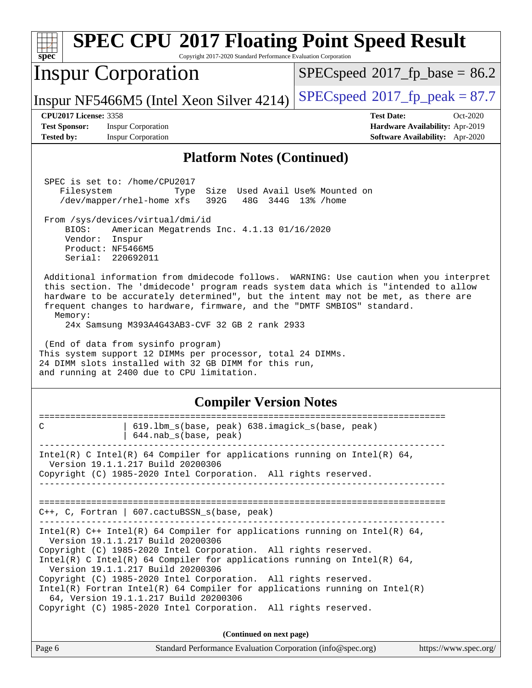| <b>SPEC CPU®2017 Floating Point Speed Result</b><br>Copyright 2017-2020 Standard Performance Evaluation Corporation<br>$sp\overline{ec}$                                                                                                                                                                                                                                                                                                                                                                                                                                                                                                                                                                                                                                                                                                                                                                                                   |                                                                                                     |  |  |  |
|--------------------------------------------------------------------------------------------------------------------------------------------------------------------------------------------------------------------------------------------------------------------------------------------------------------------------------------------------------------------------------------------------------------------------------------------------------------------------------------------------------------------------------------------------------------------------------------------------------------------------------------------------------------------------------------------------------------------------------------------------------------------------------------------------------------------------------------------------------------------------------------------------------------------------------------------|-----------------------------------------------------------------------------------------------------|--|--|--|
| <b>Inspur Corporation</b>                                                                                                                                                                                                                                                                                                                                                                                                                                                                                                                                                                                                                                                                                                                                                                                                                                                                                                                  | $SPEC speed$ <sup>®</sup> 2017_fp_base = 86.2                                                       |  |  |  |
| Inspur NF5466M5 (Intel Xeon Silver 4214)                                                                                                                                                                                                                                                                                                                                                                                                                                                                                                                                                                                                                                                                                                                                                                                                                                                                                                   | $SPEC speed^{\circ}2017$ [p_peak = 87.7                                                             |  |  |  |
| <b>CPU2017 License: 3358</b><br><b>Test Sponsor:</b><br><b>Inspur Corporation</b><br><b>Inspur Corporation</b><br><b>Tested by:</b>                                                                                                                                                                                                                                                                                                                                                                                                                                                                                                                                                                                                                                                                                                                                                                                                        | <b>Test Date:</b><br>Oct-2020<br>Hardware Availability: Apr-2019<br>Software Availability: Apr-2020 |  |  |  |
| <b>Platform Notes (Continued)</b>                                                                                                                                                                                                                                                                                                                                                                                                                                                                                                                                                                                                                                                                                                                                                                                                                                                                                                          |                                                                                                     |  |  |  |
| SPEC is set to: /home/CPU2017<br>Size Used Avail Use% Mounted on<br>Filesystem<br>Type<br>/dev/mapper/rhel-home xfs<br>392G<br>48G<br>344G 13% / home<br>From /sys/devices/virtual/dmi/id<br>BIOS:<br>American Megatrends Inc. 4.1.13 01/16/2020<br>Vendor:<br>Inspur<br>Product: NF5466M5<br>Serial: 220692011<br>Additional information from dmidecode follows. WARNING: Use caution when you interpret<br>this section. The 'dmidecode' program reads system data which is "intended to allow<br>hardware to be accurately determined", but the intent may not be met, as there are<br>frequent changes to hardware, firmware, and the "DMTF SMBIOS" standard.<br>Memory:<br>24x Samsung M393A4G43AB3-CVF 32 GB 2 rank 2933<br>(End of data from sysinfo program)<br>This system support 12 DIMMs per processor, total 24 DIMMs.<br>24 DIMM slots installed with 32 GB DIMM for this run,<br>and running at 2400 due to CPU limitation. |                                                                                                     |  |  |  |
| <b>Compiler Version Notes</b>                                                                                                                                                                                                                                                                                                                                                                                                                                                                                                                                                                                                                                                                                                                                                                                                                                                                                                              |                                                                                                     |  |  |  |
| 619.1bm_s(base, peak) 638.imagick_s(base, peak)<br>C<br>644.nab_s(base, peak)                                                                                                                                                                                                                                                                                                                                                                                                                                                                                                                                                                                                                                                                                                                                                                                                                                                              |                                                                                                     |  |  |  |
| Intel(R) C Intel(R) 64 Compiler for applications running on Intel(R) 64,<br>Version 19.1.1.217 Build 20200306<br>Copyright (C) 1985-2020 Intel Corporation. All rights reserved.                                                                                                                                                                                                                                                                                                                                                                                                                                                                                                                                                                                                                                                                                                                                                           |                                                                                                     |  |  |  |
| $C++$ , C, Fortran   607.cactuBSSN_s(base, peak)<br>_____________________________________                                                                                                                                                                                                                                                                                                                                                                                                                                                                                                                                                                                                                                                                                                                                                                                                                                                  |                                                                                                     |  |  |  |
| Intel(R) $C++$ Intel(R) 64 Compiler for applications running on Intel(R) 64,<br>Version 19.1.1.217 Build 20200306<br>Copyright (C) 1985-2020 Intel Corporation. All rights reserved.<br>Intel(R) C Intel(R) 64 Compiler for applications running on Intel(R) 64,<br>Version 19.1.1.217 Build 20200306<br>Copyright (C) 1985-2020 Intel Corporation. All rights reserved.<br>Intel(R) Fortran Intel(R) 64 Compiler for applications running on Intel(R)<br>64, Version 19.1.1.217 Build 20200306<br>Copyright (C) 1985-2020 Intel Corporation. All rights reserved.                                                                                                                                                                                                                                                                                                                                                                         |                                                                                                     |  |  |  |
| (Continued on next page)                                                                                                                                                                                                                                                                                                                                                                                                                                                                                                                                                                                                                                                                                                                                                                                                                                                                                                                   |                                                                                                     |  |  |  |
| Page 6<br>Standard Performance Evaluation Corporation (info@spec.org)                                                                                                                                                                                                                                                                                                                                                                                                                                                                                                                                                                                                                                                                                                                                                                                                                                                                      | https://www.spec.org/                                                                               |  |  |  |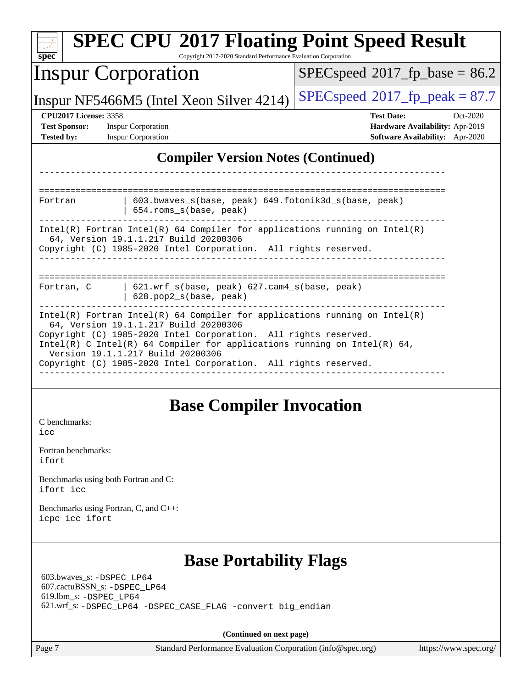| <b>SPEC CPU®2017 Floating Point Speed Result</b><br>Copyright 2017-2020 Standard Performance Evaluation Corporation<br>$s\overline{p}$ ec <sup>®</sup>                                   |                                                                                                                                                                                                                                                                                                                                                                              |                                          |                                 |
|------------------------------------------------------------------------------------------------------------------------------------------------------------------------------------------|------------------------------------------------------------------------------------------------------------------------------------------------------------------------------------------------------------------------------------------------------------------------------------------------------------------------------------------------------------------------------|------------------------------------------|---------------------------------|
| <b>Inspur Corporation</b>                                                                                                                                                                |                                                                                                                                                                                                                                                                                                                                                                              | $SPEC speed^{\circ}2017$ fp base = 86.2  |                                 |
| Inspur NF5466M5 (Intel Xeon Silver 4214)                                                                                                                                                 |                                                                                                                                                                                                                                                                                                                                                                              | $SPEC speed^{\circ}2017$ _fp_peak = 87.7 |                                 |
| <b>CPU2017 License: 3358</b>                                                                                                                                                             |                                                                                                                                                                                                                                                                                                                                                                              | <b>Test Date:</b>                        | Oct-2020                        |
| <b>Test Sponsor:</b>                                                                                                                                                                     | <b>Inspur Corporation</b>                                                                                                                                                                                                                                                                                                                                                    |                                          | Hardware Availability: Apr-2019 |
| <b>Tested by:</b>                                                                                                                                                                        | <b>Inspur Corporation</b>                                                                                                                                                                                                                                                                                                                                                    |                                          | Software Availability: Apr-2020 |
|                                                                                                                                                                                          | <b>Compiler Version Notes (Continued)</b>                                                                                                                                                                                                                                                                                                                                    |                                          |                                 |
|                                                                                                                                                                                          |                                                                                                                                                                                                                                                                                                                                                                              |                                          |                                 |
| Fortran                                                                                                                                                                                  | 603.bwaves_s(base, peak) 649.fotonik3d_s(base, peak)<br>654.roms_s(base, peak)                                                                                                                                                                                                                                                                                               |                                          |                                 |
| $Intel(R)$ Fortran Intel(R) 64 Compiler for applications running on Intel(R)<br>64, Version 19.1.1.217 Build 20200306<br>Copyright (C) 1985-2020 Intel Corporation. All rights reserved. |                                                                                                                                                                                                                                                                                                                                                                              |                                          |                                 |
| Fortran, C                                                                                                                                                                               | 621.wrf_s(base, peak) 627.cam4_s(base, peak)<br>628.pop2_s(base, peak)                                                                                                                                                                                                                                                                                                       |                                          |                                 |
|                                                                                                                                                                                          | $Intel(R)$ Fortran Intel(R) 64 Compiler for applications running on Intel(R)<br>64, Version 19.1.1.217 Build 20200306<br>Copyright (C) 1985-2020 Intel Corporation. All rights reserved.<br>Intel(R) C Intel(R) 64 Compiler for applications running on Intel(R) 64,<br>Version 19.1.1.217 Build 20200306<br>Copyright (C) 1985-2020 Intel Corporation. All rights reserved. |                                          |                                 |
| C benchmarks:<br>icc<br>Fortran benchmarks:<br>ifort                                                                                                                                     | <b>Base Compiler Invocation</b>                                                                                                                                                                                                                                                                                                                                              |                                          |                                 |
| Benchmarks using both Fortran and C:<br>ifort icc                                                                                                                                        |                                                                                                                                                                                                                                                                                                                                                                              |                                          |                                 |
| Benchmarks using Fortran, C, and C++:<br>icpc icc ifort                                                                                                                                  |                                                                                                                                                                                                                                                                                                                                                                              |                                          |                                 |
| 603.bwaves_s: -DSPEC_LP64<br>607.cactuBSSN_s: -DSPEC_LP64<br>619.1bm_s: -DSPEC LP64                                                                                                      | <b>Base Portability Flags</b><br>621.wrf_s: -DSPEC_LP64 -DSPEC_CASE_FLAG -convert big_endian                                                                                                                                                                                                                                                                                 |                                          |                                 |
|                                                                                                                                                                                          | (Continued on next page)                                                                                                                                                                                                                                                                                                                                                     |                                          |                                 |
| Page 7                                                                                                                                                                                   | Standard Performance Evaluation Corporation (info@spec.org)                                                                                                                                                                                                                                                                                                                  |                                          | https://www.spec.org/           |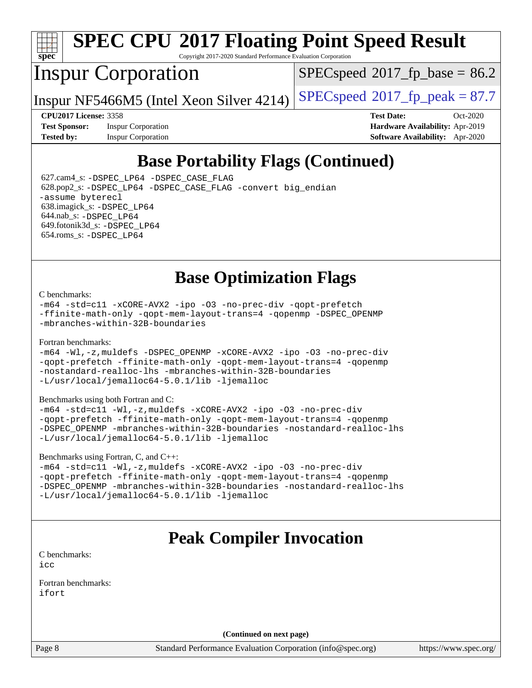

# **[SPEC CPU](http://www.spec.org/auto/cpu2017/Docs/result-fields.html#SPECCPU2017FloatingPointSpeedResult)[2017 Floating Point Speed Result](http://www.spec.org/auto/cpu2017/Docs/result-fields.html#SPECCPU2017FloatingPointSpeedResult)**

Copyright 2017-2020 Standard Performance Evaluation Corporation

## Inspur Corporation

 $SPECspeed*2017_fp\_base = 86.2$  $SPECspeed*2017_fp\_base = 86.2$ 

Inspur NF5466M5 (Intel Xeon Silver 4214)  $SPECspeed^{\circ}2017_f$  $SPECspeed^{\circ}2017_f$  peak = 87.7

**[Test Sponsor:](http://www.spec.org/auto/cpu2017/Docs/result-fields.html#TestSponsor)** Inspur Corporation **[Hardware Availability:](http://www.spec.org/auto/cpu2017/Docs/result-fields.html#HardwareAvailability)** Apr-2019

**[CPU2017 License:](http://www.spec.org/auto/cpu2017/Docs/result-fields.html#CPU2017License)** 3358 **[Test Date:](http://www.spec.org/auto/cpu2017/Docs/result-fields.html#TestDate)** Oct-2020 **[Tested by:](http://www.spec.org/auto/cpu2017/Docs/result-fields.html#Testedby)** Inspur Corporation **[Software Availability:](http://www.spec.org/auto/cpu2017/Docs/result-fields.html#SoftwareAvailability)** Apr-2020

## **[Base Portability Flags \(Continued\)](http://www.spec.org/auto/cpu2017/Docs/result-fields.html#BasePortabilityFlags)**

 627.cam4\_s: [-DSPEC\\_LP64](http://www.spec.org/cpu2017/results/res2020q4/cpu2017-20201109-24371.flags.html#suite_basePORTABILITY627_cam4_s_DSPEC_LP64) [-DSPEC\\_CASE\\_FLAG](http://www.spec.org/cpu2017/results/res2020q4/cpu2017-20201109-24371.flags.html#b627.cam4_s_baseCPORTABILITY_DSPEC_CASE_FLAG) 628.pop2\_s: [-DSPEC\\_LP64](http://www.spec.org/cpu2017/results/res2020q4/cpu2017-20201109-24371.flags.html#suite_basePORTABILITY628_pop2_s_DSPEC_LP64) [-DSPEC\\_CASE\\_FLAG](http://www.spec.org/cpu2017/results/res2020q4/cpu2017-20201109-24371.flags.html#b628.pop2_s_baseCPORTABILITY_DSPEC_CASE_FLAG) [-convert big\\_endian](http://www.spec.org/cpu2017/results/res2020q4/cpu2017-20201109-24371.flags.html#user_baseFPORTABILITY628_pop2_s_convert_big_endian_c3194028bc08c63ac5d04de18c48ce6d347e4e562e8892b8bdbdc0214820426deb8554edfa529a3fb25a586e65a3d812c835984020483e7e73212c4d31a38223) [-assume byterecl](http://www.spec.org/cpu2017/results/res2020q4/cpu2017-20201109-24371.flags.html#user_baseFPORTABILITY628_pop2_s_assume_byterecl_7e47d18b9513cf18525430bbf0f2177aa9bf368bc7a059c09b2c06a34b53bd3447c950d3f8d6c70e3faf3a05c8557d66a5798b567902e8849adc142926523472) 638.imagick\_s: [-DSPEC\\_LP64](http://www.spec.org/cpu2017/results/res2020q4/cpu2017-20201109-24371.flags.html#suite_basePORTABILITY638_imagick_s_DSPEC_LP64) 644.nab\_s: [-DSPEC\\_LP64](http://www.spec.org/cpu2017/results/res2020q4/cpu2017-20201109-24371.flags.html#suite_basePORTABILITY644_nab_s_DSPEC_LP64) 649.fotonik3d\_s: [-DSPEC\\_LP64](http://www.spec.org/cpu2017/results/res2020q4/cpu2017-20201109-24371.flags.html#suite_basePORTABILITY649_fotonik3d_s_DSPEC_LP64) 654.roms\_s: [-DSPEC\\_LP64](http://www.spec.org/cpu2017/results/res2020q4/cpu2017-20201109-24371.flags.html#suite_basePORTABILITY654_roms_s_DSPEC_LP64)

### **[Base Optimization Flags](http://www.spec.org/auto/cpu2017/Docs/result-fields.html#BaseOptimizationFlags)**

#### [C benchmarks](http://www.spec.org/auto/cpu2017/Docs/result-fields.html#Cbenchmarks):

[-m64](http://www.spec.org/cpu2017/results/res2020q4/cpu2017-20201109-24371.flags.html#user_CCbase_m64-icc) [-std=c11](http://www.spec.org/cpu2017/results/res2020q4/cpu2017-20201109-24371.flags.html#user_CCbase_std-icc-std_0e1c27790398a4642dfca32ffe6c27b5796f9c2d2676156f2e42c9c44eaad0c049b1cdb667a270c34d979996257aeb8fc440bfb01818dbc9357bd9d174cb8524) [-xCORE-AVX2](http://www.spec.org/cpu2017/results/res2020q4/cpu2017-20201109-24371.flags.html#user_CCbase_f-xCORE-AVX2) [-ipo](http://www.spec.org/cpu2017/results/res2020q4/cpu2017-20201109-24371.flags.html#user_CCbase_f-ipo) [-O3](http://www.spec.org/cpu2017/results/res2020q4/cpu2017-20201109-24371.flags.html#user_CCbase_f-O3) [-no-prec-div](http://www.spec.org/cpu2017/results/res2020q4/cpu2017-20201109-24371.flags.html#user_CCbase_f-no-prec-div) [-qopt-prefetch](http://www.spec.org/cpu2017/results/res2020q4/cpu2017-20201109-24371.flags.html#user_CCbase_f-qopt-prefetch) [-ffinite-math-only](http://www.spec.org/cpu2017/results/res2020q4/cpu2017-20201109-24371.flags.html#user_CCbase_f_finite_math_only_cb91587bd2077682c4b38af759c288ed7c732db004271a9512da14a4f8007909a5f1427ecbf1a0fb78ff2a814402c6114ac565ca162485bbcae155b5e4258871) [-qopt-mem-layout-trans=4](http://www.spec.org/cpu2017/results/res2020q4/cpu2017-20201109-24371.flags.html#user_CCbase_f-qopt-mem-layout-trans_fa39e755916c150a61361b7846f310bcdf6f04e385ef281cadf3647acec3f0ae266d1a1d22d972a7087a248fd4e6ca390a3634700869573d231a252c784941a8) [-qopenmp](http://www.spec.org/cpu2017/results/res2020q4/cpu2017-20201109-24371.flags.html#user_CCbase_qopenmp_16be0c44f24f464004c6784a7acb94aca937f053568ce72f94b139a11c7c168634a55f6653758ddd83bcf7b8463e8028bb0b48b77bcddc6b78d5d95bb1df2967) [-DSPEC\\_OPENMP](http://www.spec.org/cpu2017/results/res2020q4/cpu2017-20201109-24371.flags.html#suite_CCbase_DSPEC_OPENMP) [-mbranches-within-32B-boundaries](http://www.spec.org/cpu2017/results/res2020q4/cpu2017-20201109-24371.flags.html#user_CCbase_f-mbranches-within-32B-boundaries)

#### [Fortran benchmarks](http://www.spec.org/auto/cpu2017/Docs/result-fields.html#Fortranbenchmarks):

[-m64](http://www.spec.org/cpu2017/results/res2020q4/cpu2017-20201109-24371.flags.html#user_FCbase_m64-icc) [-Wl,-z,muldefs](http://www.spec.org/cpu2017/results/res2020q4/cpu2017-20201109-24371.flags.html#user_FCbase_link_force_multiple1_b4cbdb97b34bdee9ceefcfe54f4c8ea74255f0b02a4b23e853cdb0e18eb4525ac79b5a88067c842dd0ee6996c24547a27a4b99331201badda8798ef8a743f577) [-DSPEC\\_OPENMP](http://www.spec.org/cpu2017/results/res2020q4/cpu2017-20201109-24371.flags.html#suite_FCbase_DSPEC_OPENMP) [-xCORE-AVX2](http://www.spec.org/cpu2017/results/res2020q4/cpu2017-20201109-24371.flags.html#user_FCbase_f-xCORE-AVX2) [-ipo](http://www.spec.org/cpu2017/results/res2020q4/cpu2017-20201109-24371.flags.html#user_FCbase_f-ipo) [-O3](http://www.spec.org/cpu2017/results/res2020q4/cpu2017-20201109-24371.flags.html#user_FCbase_f-O3) [-no-prec-div](http://www.spec.org/cpu2017/results/res2020q4/cpu2017-20201109-24371.flags.html#user_FCbase_f-no-prec-div) [-qopt-prefetch](http://www.spec.org/cpu2017/results/res2020q4/cpu2017-20201109-24371.flags.html#user_FCbase_f-qopt-prefetch) [-ffinite-math-only](http://www.spec.org/cpu2017/results/res2020q4/cpu2017-20201109-24371.flags.html#user_FCbase_f_finite_math_only_cb91587bd2077682c4b38af759c288ed7c732db004271a9512da14a4f8007909a5f1427ecbf1a0fb78ff2a814402c6114ac565ca162485bbcae155b5e4258871) [-qopt-mem-layout-trans=4](http://www.spec.org/cpu2017/results/res2020q4/cpu2017-20201109-24371.flags.html#user_FCbase_f-qopt-mem-layout-trans_fa39e755916c150a61361b7846f310bcdf6f04e385ef281cadf3647acec3f0ae266d1a1d22d972a7087a248fd4e6ca390a3634700869573d231a252c784941a8) [-qopenmp](http://www.spec.org/cpu2017/results/res2020q4/cpu2017-20201109-24371.flags.html#user_FCbase_qopenmp_16be0c44f24f464004c6784a7acb94aca937f053568ce72f94b139a11c7c168634a55f6653758ddd83bcf7b8463e8028bb0b48b77bcddc6b78d5d95bb1df2967) [-nostandard-realloc-lhs](http://www.spec.org/cpu2017/results/res2020q4/cpu2017-20201109-24371.flags.html#user_FCbase_f_2003_std_realloc_82b4557e90729c0f113870c07e44d33d6f5a304b4f63d4c15d2d0f1fab99f5daaed73bdb9275d9ae411527f28b936061aa8b9c8f2d63842963b95c9dd6426b8a) [-mbranches-within-32B-boundaries](http://www.spec.org/cpu2017/results/res2020q4/cpu2017-20201109-24371.flags.html#user_FCbase_f-mbranches-within-32B-boundaries) [-L/usr/local/jemalloc64-5.0.1/lib](http://www.spec.org/cpu2017/results/res2020q4/cpu2017-20201109-24371.flags.html#user_FCbase_jemalloc_link_path64_1_cc289568b1a6c0fd3b62c91b824c27fcb5af5e8098e6ad028160d21144ef1b8aef3170d2acf0bee98a8da324cfe4f67d0a3d0c4cc4673d993d694dc2a0df248b) [-ljemalloc](http://www.spec.org/cpu2017/results/res2020q4/cpu2017-20201109-24371.flags.html#user_FCbase_jemalloc_link_lib_d1249b907c500fa1c0672f44f562e3d0f79738ae9e3c4a9c376d49f265a04b9c99b167ecedbf6711b3085be911c67ff61f150a17b3472be731631ba4d0471706)

#### [Benchmarks using both Fortran and C](http://www.spec.org/auto/cpu2017/Docs/result-fields.html#BenchmarksusingbothFortranandC):

[-m64](http://www.spec.org/cpu2017/results/res2020q4/cpu2017-20201109-24371.flags.html#user_CC_FCbase_m64-icc) [-std=c11](http://www.spec.org/cpu2017/results/res2020q4/cpu2017-20201109-24371.flags.html#user_CC_FCbase_std-icc-std_0e1c27790398a4642dfca32ffe6c27b5796f9c2d2676156f2e42c9c44eaad0c049b1cdb667a270c34d979996257aeb8fc440bfb01818dbc9357bd9d174cb8524) [-Wl,-z,muldefs](http://www.spec.org/cpu2017/results/res2020q4/cpu2017-20201109-24371.flags.html#user_CC_FCbase_link_force_multiple1_b4cbdb97b34bdee9ceefcfe54f4c8ea74255f0b02a4b23e853cdb0e18eb4525ac79b5a88067c842dd0ee6996c24547a27a4b99331201badda8798ef8a743f577) [-xCORE-AVX2](http://www.spec.org/cpu2017/results/res2020q4/cpu2017-20201109-24371.flags.html#user_CC_FCbase_f-xCORE-AVX2) [-ipo](http://www.spec.org/cpu2017/results/res2020q4/cpu2017-20201109-24371.flags.html#user_CC_FCbase_f-ipo) [-O3](http://www.spec.org/cpu2017/results/res2020q4/cpu2017-20201109-24371.flags.html#user_CC_FCbase_f-O3) [-no-prec-div](http://www.spec.org/cpu2017/results/res2020q4/cpu2017-20201109-24371.flags.html#user_CC_FCbase_f-no-prec-div) [-qopt-prefetch](http://www.spec.org/cpu2017/results/res2020q4/cpu2017-20201109-24371.flags.html#user_CC_FCbase_f-qopt-prefetch) [-ffinite-math-only](http://www.spec.org/cpu2017/results/res2020q4/cpu2017-20201109-24371.flags.html#user_CC_FCbase_f_finite_math_only_cb91587bd2077682c4b38af759c288ed7c732db004271a9512da14a4f8007909a5f1427ecbf1a0fb78ff2a814402c6114ac565ca162485bbcae155b5e4258871) [-qopt-mem-layout-trans=4](http://www.spec.org/cpu2017/results/res2020q4/cpu2017-20201109-24371.flags.html#user_CC_FCbase_f-qopt-mem-layout-trans_fa39e755916c150a61361b7846f310bcdf6f04e385ef281cadf3647acec3f0ae266d1a1d22d972a7087a248fd4e6ca390a3634700869573d231a252c784941a8) [-qopenmp](http://www.spec.org/cpu2017/results/res2020q4/cpu2017-20201109-24371.flags.html#user_CC_FCbase_qopenmp_16be0c44f24f464004c6784a7acb94aca937f053568ce72f94b139a11c7c168634a55f6653758ddd83bcf7b8463e8028bb0b48b77bcddc6b78d5d95bb1df2967) [-DSPEC\\_OPENMP](http://www.spec.org/cpu2017/results/res2020q4/cpu2017-20201109-24371.flags.html#suite_CC_FCbase_DSPEC_OPENMP) [-mbranches-within-32B-boundaries](http://www.spec.org/cpu2017/results/res2020q4/cpu2017-20201109-24371.flags.html#user_CC_FCbase_f-mbranches-within-32B-boundaries) [-nostandard-realloc-lhs](http://www.spec.org/cpu2017/results/res2020q4/cpu2017-20201109-24371.flags.html#user_CC_FCbase_f_2003_std_realloc_82b4557e90729c0f113870c07e44d33d6f5a304b4f63d4c15d2d0f1fab99f5daaed73bdb9275d9ae411527f28b936061aa8b9c8f2d63842963b95c9dd6426b8a) [-L/usr/local/jemalloc64-5.0.1/lib](http://www.spec.org/cpu2017/results/res2020q4/cpu2017-20201109-24371.flags.html#user_CC_FCbase_jemalloc_link_path64_1_cc289568b1a6c0fd3b62c91b824c27fcb5af5e8098e6ad028160d21144ef1b8aef3170d2acf0bee98a8da324cfe4f67d0a3d0c4cc4673d993d694dc2a0df248b) [-ljemalloc](http://www.spec.org/cpu2017/results/res2020q4/cpu2017-20201109-24371.flags.html#user_CC_FCbase_jemalloc_link_lib_d1249b907c500fa1c0672f44f562e3d0f79738ae9e3c4a9c376d49f265a04b9c99b167ecedbf6711b3085be911c67ff61f150a17b3472be731631ba4d0471706)

#### [Benchmarks using Fortran, C, and C++:](http://www.spec.org/auto/cpu2017/Docs/result-fields.html#BenchmarksusingFortranCandCXX)

```
-m64 -std=c11 -Wl,-z,muldefs -xCORE-AVX2 -ipo -O3 -no-prec-div
-qopt-prefetch -ffinite-math-only -qopt-mem-layout-trans=4 -qopenmp
-DSPEC_OPENMP -mbranches-within-32B-boundaries -nostandard-realloc-lhs
-L/usr/local/jemalloc64-5.0.1/lib -ljemalloc
```
### **[Peak Compiler Invocation](http://www.spec.org/auto/cpu2017/Docs/result-fields.html#PeakCompilerInvocation)**

[C benchmarks](http://www.spec.org/auto/cpu2017/Docs/result-fields.html#Cbenchmarks): [icc](http://www.spec.org/cpu2017/results/res2020q4/cpu2017-20201109-24371.flags.html#user_CCpeak_intel_icc_66fc1ee009f7361af1fbd72ca7dcefbb700085f36577c54f309893dd4ec40d12360134090235512931783d35fd58c0460139e722d5067c5574d8eaf2b3e37e92)

[Fortran benchmarks](http://www.spec.org/auto/cpu2017/Docs/result-fields.html#Fortranbenchmarks): [ifort](http://www.spec.org/cpu2017/results/res2020q4/cpu2017-20201109-24371.flags.html#user_FCpeak_intel_ifort_8111460550e3ca792625aed983ce982f94888b8b503583aa7ba2b8303487b4d8a21a13e7191a45c5fd58ff318f48f9492884d4413fa793fd88dd292cad7027ca)

**(Continued on next page)**

Page 8 Standard Performance Evaluation Corporation [\(info@spec.org\)](mailto:info@spec.org) <https://www.spec.org/>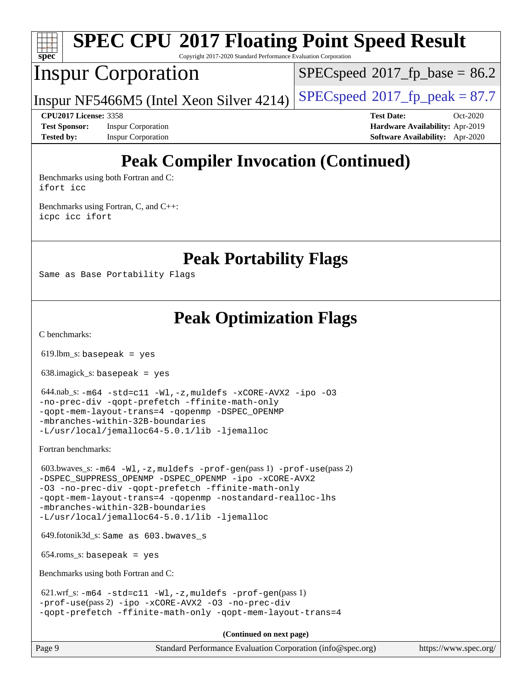

# **[SPEC CPU](http://www.spec.org/auto/cpu2017/Docs/result-fields.html#SPECCPU2017FloatingPointSpeedResult)[2017 Floating Point Speed Result](http://www.spec.org/auto/cpu2017/Docs/result-fields.html#SPECCPU2017FloatingPointSpeedResult)**

Copyright 2017-2020 Standard Performance Evaluation Corporation

## Inspur Corporation

 $SPECspeed^{\circ}2017\_fp\_base = 86.2$  $SPECspeed^{\circ}2017\_fp\_base = 86.2$ 

Inspur NF5466M5 (Intel Xeon Silver 4214)  $SPECspeed^{\circ}2017_f$  $SPECspeed^{\circ}2017_f$  peak = 87.7

**[Test Sponsor:](http://www.spec.org/auto/cpu2017/Docs/result-fields.html#TestSponsor)** Inspur Corporation **[Hardware Availability:](http://www.spec.org/auto/cpu2017/Docs/result-fields.html#HardwareAvailability)** Apr-2019 **[Tested by:](http://www.spec.org/auto/cpu2017/Docs/result-fields.html#Testedby)** Inspur Corporation **[Software Availability:](http://www.spec.org/auto/cpu2017/Docs/result-fields.html#SoftwareAvailability)** Apr-2020

**[CPU2017 License:](http://www.spec.org/auto/cpu2017/Docs/result-fields.html#CPU2017License)** 3358 **[Test Date:](http://www.spec.org/auto/cpu2017/Docs/result-fields.html#TestDate)** Oct-2020

# **[Peak Compiler Invocation \(Continued\)](http://www.spec.org/auto/cpu2017/Docs/result-fields.html#PeakCompilerInvocation)**

[Benchmarks using both Fortran and C](http://www.spec.org/auto/cpu2017/Docs/result-fields.html#BenchmarksusingbothFortranandC): [ifort](http://www.spec.org/cpu2017/results/res2020q4/cpu2017-20201109-24371.flags.html#user_CC_FCpeak_intel_ifort_8111460550e3ca792625aed983ce982f94888b8b503583aa7ba2b8303487b4d8a21a13e7191a45c5fd58ff318f48f9492884d4413fa793fd88dd292cad7027ca) [icc](http://www.spec.org/cpu2017/results/res2020q4/cpu2017-20201109-24371.flags.html#user_CC_FCpeak_intel_icc_66fc1ee009f7361af1fbd72ca7dcefbb700085f36577c54f309893dd4ec40d12360134090235512931783d35fd58c0460139e722d5067c5574d8eaf2b3e37e92)

[Benchmarks using Fortran, C, and C++:](http://www.spec.org/auto/cpu2017/Docs/result-fields.html#BenchmarksusingFortranCandCXX) [icpc](http://www.spec.org/cpu2017/results/res2020q4/cpu2017-20201109-24371.flags.html#user_CC_CXX_FCpeak_intel_icpc_c510b6838c7f56d33e37e94d029a35b4a7bccf4766a728ee175e80a419847e808290a9b78be685c44ab727ea267ec2f070ec5dc83b407c0218cded6866a35d07) [icc](http://www.spec.org/cpu2017/results/res2020q4/cpu2017-20201109-24371.flags.html#user_CC_CXX_FCpeak_intel_icc_66fc1ee009f7361af1fbd72ca7dcefbb700085f36577c54f309893dd4ec40d12360134090235512931783d35fd58c0460139e722d5067c5574d8eaf2b3e37e92) [ifort](http://www.spec.org/cpu2017/results/res2020q4/cpu2017-20201109-24371.flags.html#user_CC_CXX_FCpeak_intel_ifort_8111460550e3ca792625aed983ce982f94888b8b503583aa7ba2b8303487b4d8a21a13e7191a45c5fd58ff318f48f9492884d4413fa793fd88dd292cad7027ca)

**[Peak Portability Flags](http://www.spec.org/auto/cpu2017/Docs/result-fields.html#PeakPortabilityFlags)**

Same as Base Portability Flags

**[Peak Optimization Flags](http://www.spec.org/auto/cpu2017/Docs/result-fields.html#PeakOptimizationFlags)**

[C benchmarks](http://www.spec.org/auto/cpu2017/Docs/result-fields.html#Cbenchmarks):

619.lbm\_s: basepeak = yes

638.imagick\_s: basepeak = yes

 644.nab\_s: [-m64](http://www.spec.org/cpu2017/results/res2020q4/cpu2017-20201109-24371.flags.html#user_peakCCLD644_nab_s_m64-icc) [-std=c11](http://www.spec.org/cpu2017/results/res2020q4/cpu2017-20201109-24371.flags.html#user_peakCCLD644_nab_s_std-icc-std_0e1c27790398a4642dfca32ffe6c27b5796f9c2d2676156f2e42c9c44eaad0c049b1cdb667a270c34d979996257aeb8fc440bfb01818dbc9357bd9d174cb8524) [-Wl,-z,muldefs](http://www.spec.org/cpu2017/results/res2020q4/cpu2017-20201109-24371.flags.html#user_peakEXTRA_LDFLAGS644_nab_s_link_force_multiple1_b4cbdb97b34bdee9ceefcfe54f4c8ea74255f0b02a4b23e853cdb0e18eb4525ac79b5a88067c842dd0ee6996c24547a27a4b99331201badda8798ef8a743f577) [-xCORE-AVX2](http://www.spec.org/cpu2017/results/res2020q4/cpu2017-20201109-24371.flags.html#user_peakCOPTIMIZE644_nab_s_f-xCORE-AVX2) [-ipo](http://www.spec.org/cpu2017/results/res2020q4/cpu2017-20201109-24371.flags.html#user_peakCOPTIMIZE644_nab_s_f-ipo) [-O3](http://www.spec.org/cpu2017/results/res2020q4/cpu2017-20201109-24371.flags.html#user_peakCOPTIMIZE644_nab_s_f-O3) [-no-prec-div](http://www.spec.org/cpu2017/results/res2020q4/cpu2017-20201109-24371.flags.html#user_peakCOPTIMIZE644_nab_s_f-no-prec-div) [-qopt-prefetch](http://www.spec.org/cpu2017/results/res2020q4/cpu2017-20201109-24371.flags.html#user_peakCOPTIMIZE644_nab_s_f-qopt-prefetch) [-ffinite-math-only](http://www.spec.org/cpu2017/results/res2020q4/cpu2017-20201109-24371.flags.html#user_peakCOPTIMIZE644_nab_s_f_finite_math_only_cb91587bd2077682c4b38af759c288ed7c732db004271a9512da14a4f8007909a5f1427ecbf1a0fb78ff2a814402c6114ac565ca162485bbcae155b5e4258871) [-qopt-mem-layout-trans=4](http://www.spec.org/cpu2017/results/res2020q4/cpu2017-20201109-24371.flags.html#user_peakCOPTIMIZE644_nab_s_f-qopt-mem-layout-trans_fa39e755916c150a61361b7846f310bcdf6f04e385ef281cadf3647acec3f0ae266d1a1d22d972a7087a248fd4e6ca390a3634700869573d231a252c784941a8) [-qopenmp](http://www.spec.org/cpu2017/results/res2020q4/cpu2017-20201109-24371.flags.html#user_peakCOPTIMIZE644_nab_s_qopenmp_16be0c44f24f464004c6784a7acb94aca937f053568ce72f94b139a11c7c168634a55f6653758ddd83bcf7b8463e8028bb0b48b77bcddc6b78d5d95bb1df2967) [-DSPEC\\_OPENMP](http://www.spec.org/cpu2017/results/res2020q4/cpu2017-20201109-24371.flags.html#suite_peakCOPTIMIZE644_nab_s_DSPEC_OPENMP) [-mbranches-within-32B-boundaries](http://www.spec.org/cpu2017/results/res2020q4/cpu2017-20201109-24371.flags.html#user_peakEXTRA_COPTIMIZE644_nab_s_f-mbranches-within-32B-boundaries) [-L/usr/local/jemalloc64-5.0.1/lib](http://www.spec.org/cpu2017/results/res2020q4/cpu2017-20201109-24371.flags.html#user_peakEXTRA_LIBS644_nab_s_jemalloc_link_path64_1_cc289568b1a6c0fd3b62c91b824c27fcb5af5e8098e6ad028160d21144ef1b8aef3170d2acf0bee98a8da324cfe4f67d0a3d0c4cc4673d993d694dc2a0df248b) [-ljemalloc](http://www.spec.org/cpu2017/results/res2020q4/cpu2017-20201109-24371.flags.html#user_peakEXTRA_LIBS644_nab_s_jemalloc_link_lib_d1249b907c500fa1c0672f44f562e3d0f79738ae9e3c4a9c376d49f265a04b9c99b167ecedbf6711b3085be911c67ff61f150a17b3472be731631ba4d0471706)

[Fortran benchmarks](http://www.spec.org/auto/cpu2017/Docs/result-fields.html#Fortranbenchmarks):

 603.bwaves\_s: [-m64](http://www.spec.org/cpu2017/results/res2020q4/cpu2017-20201109-24371.flags.html#user_peakFCLD603_bwaves_s_m64-icc) [-Wl,-z,muldefs](http://www.spec.org/cpu2017/results/res2020q4/cpu2017-20201109-24371.flags.html#user_peakEXTRA_LDFLAGS603_bwaves_s_link_force_multiple1_b4cbdb97b34bdee9ceefcfe54f4c8ea74255f0b02a4b23e853cdb0e18eb4525ac79b5a88067c842dd0ee6996c24547a27a4b99331201badda8798ef8a743f577) [-prof-gen](http://www.spec.org/cpu2017/results/res2020q4/cpu2017-20201109-24371.flags.html#user_peakPASS1_FFLAGSPASS1_LDFLAGS603_bwaves_s_prof_gen_5aa4926d6013ddb2a31985c654b3eb18169fc0c6952a63635c234f711e6e63dd76e94ad52365559451ec499a2cdb89e4dc58ba4c67ef54ca681ffbe1461d6b36)(pass 1) [-prof-use](http://www.spec.org/cpu2017/results/res2020q4/cpu2017-20201109-24371.flags.html#user_peakPASS2_FFLAGSPASS2_LDFLAGS603_bwaves_s_prof_use_1a21ceae95f36a2b53c25747139a6c16ca95bd9def2a207b4f0849963b97e94f5260e30a0c64f4bb623698870e679ca08317ef8150905d41bd88c6f78df73f19)(pass 2) -DSPEC SUPPRESS OPENMP -DSPEC OPENMP [-ipo](http://www.spec.org/cpu2017/results/res2020q4/cpu2017-20201109-24371.flags.html#user_peakPASS1_FOPTIMIZEPASS2_FOPTIMIZE603_bwaves_s_f-ipo) [-xCORE-AVX2](http://www.spec.org/cpu2017/results/res2020q4/cpu2017-20201109-24371.flags.html#user_peakPASS2_FOPTIMIZE603_bwaves_s_f-xCORE-AVX2) [-O3](http://www.spec.org/cpu2017/results/res2020q4/cpu2017-20201109-24371.flags.html#user_peakPASS1_FOPTIMIZEPASS2_FOPTIMIZE603_bwaves_s_f-O3) [-no-prec-div](http://www.spec.org/cpu2017/results/res2020q4/cpu2017-20201109-24371.flags.html#user_peakPASS1_FOPTIMIZEPASS2_FOPTIMIZE603_bwaves_s_f-no-prec-div) [-qopt-prefetch](http://www.spec.org/cpu2017/results/res2020q4/cpu2017-20201109-24371.flags.html#user_peakPASS1_FOPTIMIZEPASS2_FOPTIMIZE603_bwaves_s_f-qopt-prefetch) [-ffinite-math-only](http://www.spec.org/cpu2017/results/res2020q4/cpu2017-20201109-24371.flags.html#user_peakPASS1_FOPTIMIZEPASS2_FOPTIMIZE603_bwaves_s_f_finite_math_only_cb91587bd2077682c4b38af759c288ed7c732db004271a9512da14a4f8007909a5f1427ecbf1a0fb78ff2a814402c6114ac565ca162485bbcae155b5e4258871) [-qopt-mem-layout-trans=4](http://www.spec.org/cpu2017/results/res2020q4/cpu2017-20201109-24371.flags.html#user_peakPASS1_FOPTIMIZEPASS2_FOPTIMIZE603_bwaves_s_f-qopt-mem-layout-trans_fa39e755916c150a61361b7846f310bcdf6f04e385ef281cadf3647acec3f0ae266d1a1d22d972a7087a248fd4e6ca390a3634700869573d231a252c784941a8) [-qopenmp](http://www.spec.org/cpu2017/results/res2020q4/cpu2017-20201109-24371.flags.html#user_peakPASS2_FOPTIMIZE603_bwaves_s_qopenmp_16be0c44f24f464004c6784a7acb94aca937f053568ce72f94b139a11c7c168634a55f6653758ddd83bcf7b8463e8028bb0b48b77bcddc6b78d5d95bb1df2967) [-nostandard-realloc-lhs](http://www.spec.org/cpu2017/results/res2020q4/cpu2017-20201109-24371.flags.html#user_peakEXTRA_FOPTIMIZE603_bwaves_s_f_2003_std_realloc_82b4557e90729c0f113870c07e44d33d6f5a304b4f63d4c15d2d0f1fab99f5daaed73bdb9275d9ae411527f28b936061aa8b9c8f2d63842963b95c9dd6426b8a) [-mbranches-within-32B-boundaries](http://www.spec.org/cpu2017/results/res2020q4/cpu2017-20201109-24371.flags.html#user_peakEXTRA_FOPTIMIZE603_bwaves_s_f-mbranches-within-32B-boundaries) [-L/usr/local/jemalloc64-5.0.1/lib](http://www.spec.org/cpu2017/results/res2020q4/cpu2017-20201109-24371.flags.html#user_peakEXTRA_LIBS603_bwaves_s_jemalloc_link_path64_1_cc289568b1a6c0fd3b62c91b824c27fcb5af5e8098e6ad028160d21144ef1b8aef3170d2acf0bee98a8da324cfe4f67d0a3d0c4cc4673d993d694dc2a0df248b) [-ljemalloc](http://www.spec.org/cpu2017/results/res2020q4/cpu2017-20201109-24371.flags.html#user_peakEXTRA_LIBS603_bwaves_s_jemalloc_link_lib_d1249b907c500fa1c0672f44f562e3d0f79738ae9e3c4a9c376d49f265a04b9c99b167ecedbf6711b3085be911c67ff61f150a17b3472be731631ba4d0471706)

649.fotonik3d\_s: Same as 603.bwaves\_s

654.roms\_s: basepeak = yes

[Benchmarks using both Fortran and C](http://www.spec.org/auto/cpu2017/Docs/result-fields.html#BenchmarksusingbothFortranandC):

```
-m64 - std = c11 -W1, -z, multdefs -prof-qen(pass 1)-prof-use(pass 2) -ipo -xCORE-AVX2 -O3 -no-prec-div
-qopt-prefetch -ffinite-math-only -qopt-mem-layout-trans=4
```
**(Continued on next page)**